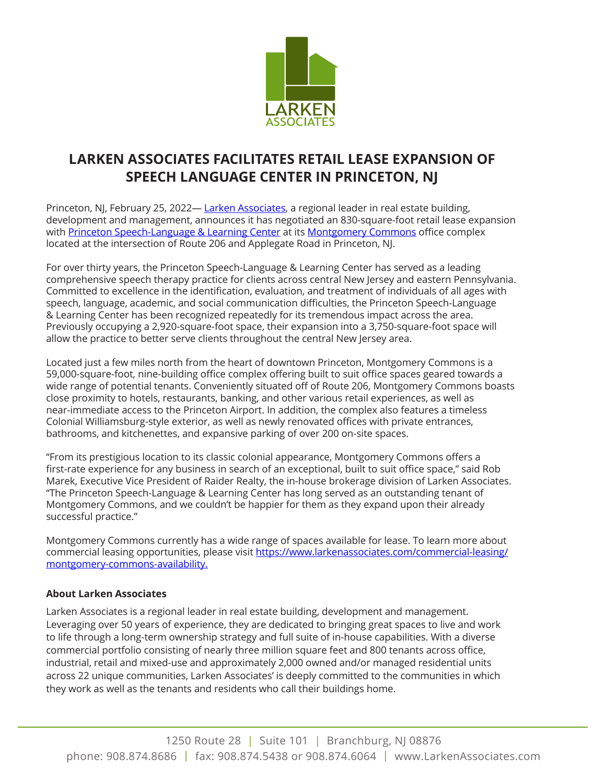

## **LARKEN ASSOCIATES FACILITATES RETAIL LEASE EXPANSION OF SPEECH LANGUAGE CENTER IN PRINCETON, NJ**

Princeton, NJ, February 25, 2022— [Larken Associates,](https://www.larkenassociates.com/) a regional leader in real estate building, development and management, announces it has negotiated an 830-square-foot retail lease expansion with [Princeton Speech-Language & Learning Center](https://www.psllcnj.com/) at its [Montgomery Commons](https://www.larkenassociates.com/commercial-leasing/montgomery-commons) office complex located at the intersection of Route 206 and Applegate Road in Princeton, NJ.

For over thirty years, the Princeton Speech-Language & Learning Center has served as a leading comprehensive speech therapy practice for clients across central New Jersey and eastern Pennsylvania. Committed to excellence in the identification, evaluation, and treatment of individuals of all ages with speech, language, academic, and social communication difficulties, the Princeton Speech-Language & Learning Center has been recognized repeatedly for its tremendous impact across the area. Previously occupying a 2,920-square-foot space, their expansion into a 3,750-square-foot space will allow the practice to better serve clients throughout the central New Jersey area.

Located just a few miles north from the heart of downtown Princeton, Montgomery Commons is a 59,000-square-foot, nine-building office complex offering built to suit office spaces geared towards a wide range of potential tenants. Conveniently situated off of Route 206, Montgomery Commons boasts close proximity to hotels, restaurants, banking, and other various retail experiences, as well as near-immediate access to the Princeton Airport. In addition, the complex also features a timeless Colonial Williamsburg-style exterior, as well as newly renovated offices with private entrances, bathrooms, and kitchenettes, and expansive parking of over 200 on-site spaces.

"From its prestigious location to its classic colonial appearance, Montgomery Commons offers a first-rate experience for any business in search of an exceptional, built to suit office space," said Rob Marek, Executive Vice President of Raider Realty, the in-house brokerage division of Larken Associates. "The Princeton Speech-Language & Learning Center has long served as an outstanding tenant of Montgomery Commons, and we couldn't be happier for them as they expand upon their already successful practice."

Montgomery Commons currently has a wide range of spaces available for lease. To learn more about commercial leasing opportunities, please visit [https://www.larkenassociates.com/commercial-leasing/](https://www.larkenassociates.com/commercial-leasing/montgomery-commons-availability) [montgomery-commons-availability](https://www.larkenassociates.com/commercial-leasing/montgomery-commons-availability).

## **About Larken Associates**

Larken Associates is a regional leader in real estate building, development and management. Leveraging over 50 years of experience, they are dedicated to bringing great spaces to live and work to life through a long-term ownership strategy and full suite of in-house capabilities. With a diverse commercial portfolio consisting of nearly three million square feet and 800 tenants across office, industrial, retail and mixed-use and approximately 2,000 owned and/or managed residential units across 22 unique communities, Larken Associates' is deeply committed to the communities in which they work as well as the tenants and residents who call their buildings home.